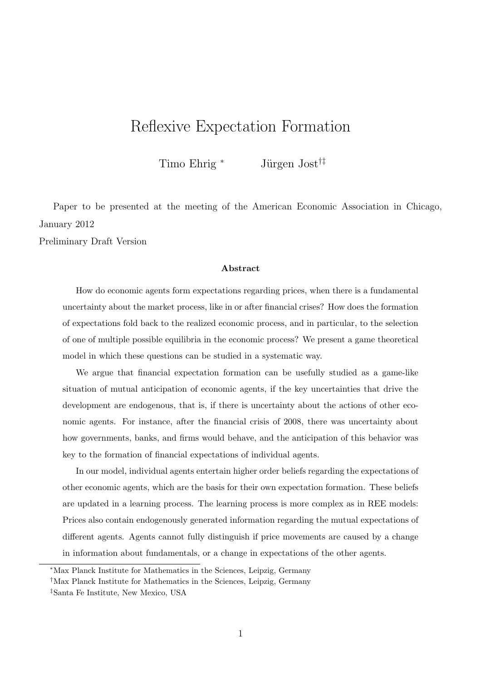# Reflexive Expectation Formation

Timo Ehrig \* Jürgen Jost<sup>†‡</sup>

Paper to be presented at the meeting of the American Economic Association in Chicago, January 2012

Preliminary Draft Version

#### Abstract

How do economic agents form expectations regarding prices, when there is a fundamental uncertainty about the market process, like in or after financial crises? How does the formation of expectations fold back to the realized economic process, and in particular, to the selection of one of multiple possible equilibria in the economic process? We present a game theoretical model in which these questions can be studied in a systematic way.

We argue that financial expectation formation can be usefully studied as a game-like situation of mutual anticipation of economic agents, if the key uncertainties that drive the development are endogenous, that is, if there is uncertainty about the actions of other economic agents. For instance, after the financial crisis of 2008, there was uncertainty about how governments, banks, and firms would behave, and the anticipation of this behavior was key to the formation of financial expectations of individual agents.

In our model, individual agents entertain higher order beliefs regarding the expectations of other economic agents, which are the basis for their own expectation formation. These beliefs are updated in a learning process. The learning process is more complex as in REE models: Prices also contain endogenously generated information regarding the mutual expectations of different agents. Agents cannot fully distinguish if price movements are caused by a change in information about fundamentals, or a change in expectations of the other agents.

<sup>∗</sup>Max Planck Institute for Mathematics in the Sciences, Leipzig, Germany

<sup>†</sup>Max Planck Institute for Mathematics in the Sciences, Leipzig, Germany

<sup>‡</sup>Santa Fe Institute, New Mexico, USA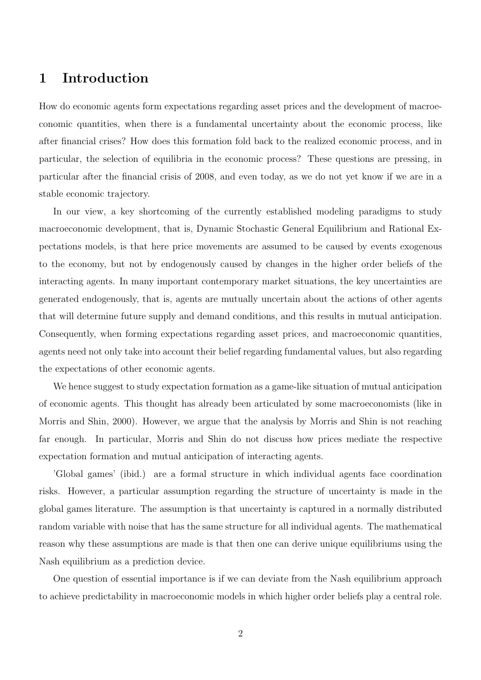### 1 Introduction

How do economic agents form expectations regarding asset prices and the development of macroeconomic quantities, when there is a fundamental uncertainty about the economic process, like after financial crises? How does this formation fold back to the realized economic process, and in particular, the selection of equilibria in the economic process? These questions are pressing, in particular after the financial crisis of 2008, and even today, as we do not yet know if we are in a stable economic trajectory.

In our view, a key shortcoming of the currently established modeling paradigms to study macroeconomic development, that is, Dynamic Stochastic General Equilibrium and Rational Expectations models, is that here price movements are assumed to be caused by events exogenous to the economy, but not by endogenously caused by changes in the higher order beliefs of the interacting agents. In many important contemporary market situations, the key uncertainties are generated endogenously, that is, agents are mutually uncertain about the actions of other agents that will determine future supply and demand conditions, and this results in mutual anticipation. Consequently, when forming expectations regarding asset prices, and macroeconomic quantities, agents need not only take into account their belief regarding fundamental values, but also regarding the expectations of other economic agents.

We hence suggest to study expectation formation as a game-like situation of mutual anticipation of economic agents. This thought has already been articulated by some macroeconomists (like in Morris and Shin, 2000). However, we argue that the analysis by Morris and Shin is not reaching far enough. In particular, Morris and Shin do not discuss how prices mediate the respective expectation formation and mutual anticipation of interacting agents.

'Global games' (ibid.) are a formal structure in which individual agents face coordination risks. However, a particular assumption regarding the structure of uncertainty is made in the global games literature. The assumption is that uncertainty is captured in a normally distributed random variable with noise that has the same structure for all individual agents. The mathematical reason why these assumptions are made is that then one can derive unique equilibriums using the Nash equilibrium as a prediction device.

One question of essential importance is if we can deviate from the Nash equilibrium approach to achieve predictability in macroeconomic models in which higher order beliefs play a central role.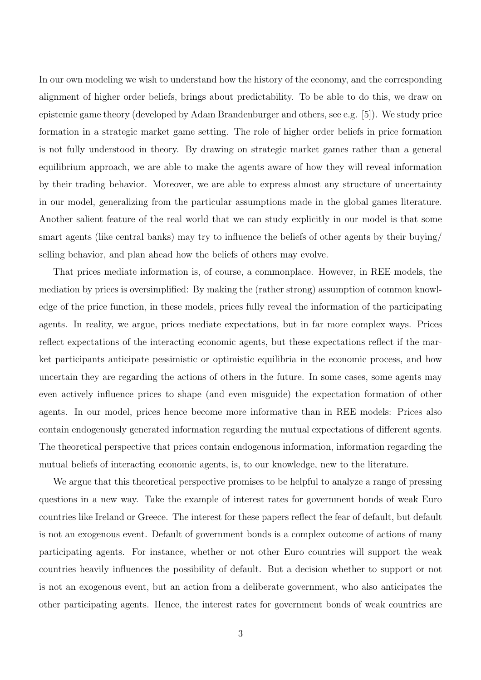In our own modeling we wish to understand how the history of the economy, and the corresponding alignment of higher order beliefs, brings about predictability. To be able to do this, we draw on epistemic game theory (developed by Adam Brandenburger and others, see e.g. [5]). We study price formation in a strategic market game setting. The role of higher order beliefs in price formation is not fully understood in theory. By drawing on strategic market games rather than a general equilibrium approach, we are able to make the agents aware of how they will reveal information by their trading behavior. Moreover, we are able to express almost any structure of uncertainty in our model, generalizing from the particular assumptions made in the global games literature. Another salient feature of the real world that we can study explicitly in our model is that some smart agents (like central banks) may try to influence the beliefs of other agents by their buying/ selling behavior, and plan ahead how the beliefs of others may evolve.

That prices mediate information is, of course, a commonplace. However, in REE models, the mediation by prices is oversimplified: By making the (rather strong) assumption of common knowledge of the price function, in these models, prices fully reveal the information of the participating agents. In reality, we argue, prices mediate expectations, but in far more complex ways. Prices reflect expectations of the interacting economic agents, but these expectations reflect if the market participants anticipate pessimistic or optimistic equilibria in the economic process, and how uncertain they are regarding the actions of others in the future. In some cases, some agents may even actively influence prices to shape (and even misguide) the expectation formation of other agents. In our model, prices hence become more informative than in REE models: Prices also contain endogenously generated information regarding the mutual expectations of different agents. The theoretical perspective that prices contain endogenous information, information regarding the mutual beliefs of interacting economic agents, is, to our knowledge, new to the literature.

We argue that this theoretical perspective promises to be helpful to analyze a range of pressing questions in a new way. Take the example of interest rates for government bonds of weak Euro countries like Ireland or Greece. The interest for these papers reflect the fear of default, but default is not an exogenous event. Default of government bonds is a complex outcome of actions of many participating agents. For instance, whether or not other Euro countries will support the weak countries heavily influences the possibility of default. But a decision whether to support or not is not an exogenous event, but an action from a deliberate government, who also anticipates the other participating agents. Hence, the interest rates for government bonds of weak countries are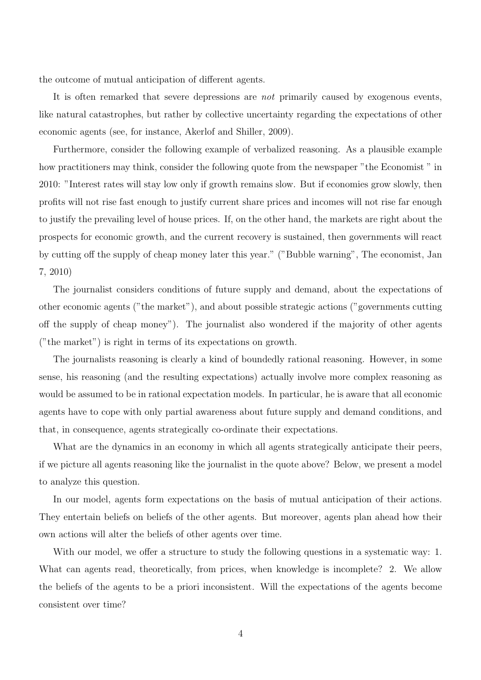the outcome of mutual anticipation of different agents.

It is often remarked that severe depressions are *not* primarily caused by exogenous events, like natural catastrophes, but rather by collective uncertainty regarding the expectations of other economic agents (see, for instance, Akerlof and Shiller, 2009).

Furthermore, consider the following example of verbalized reasoning. As a plausible example how practitioners may think, consider the following quote from the newspaper "the Economist " in 2010: "Interest rates will stay low only if growth remains slow. But if economies grow slowly, then profits will not rise fast enough to justify current share prices and incomes will not rise far enough to justify the prevailing level of house prices. If, on the other hand, the markets are right about the prospects for economic growth, and the current recovery is sustained, then governments will react by cutting off the supply of cheap money later this year." ("Bubble warning", The economist, Jan 7, 2010)

The journalist considers conditions of future supply and demand, about the expectations of other economic agents ("the market"), and about possible strategic actions ("governments cutting off the supply of cheap money"). The journalist also wondered if the majority of other agents ("the market") is right in terms of its expectations on growth.

The journalists reasoning is clearly a kind of boundedly rational reasoning. However, in some sense, his reasoning (and the resulting expectations) actually involve more complex reasoning as would be assumed to be in rational expectation models. In particular, he is aware that all economic agents have to cope with only partial awareness about future supply and demand conditions, and that, in consequence, agents strategically co-ordinate their expectations.

What are the dynamics in an economy in which all agents strategically anticipate their peers, if we picture all agents reasoning like the journalist in the quote above? Below, we present a model to analyze this question.

In our model, agents form expectations on the basis of mutual anticipation of their actions. They entertain beliefs on beliefs of the other agents. But moreover, agents plan ahead how their own actions will alter the beliefs of other agents over time.

With our model, we offer a structure to study the following questions in a systematic way: 1. What can agents read, theoretically, from prices, when knowledge is incomplete? 2. We allow the beliefs of the agents to be a priori inconsistent. Will the expectations of the agents become consistent over time?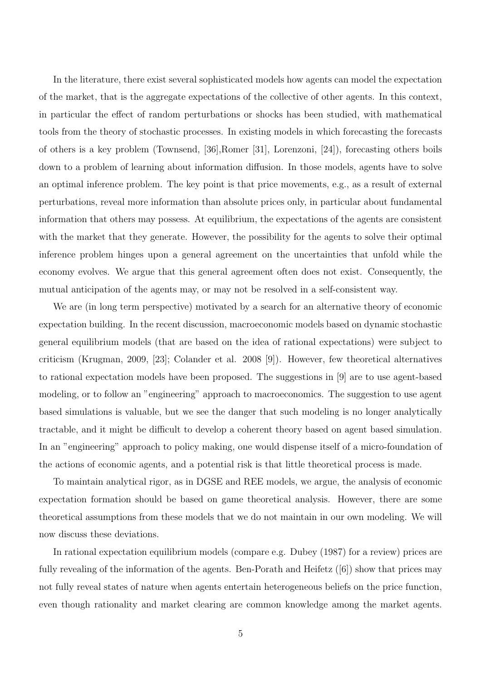In the literature, there exist several sophisticated models how agents can model the expectation of the market, that is the aggregate expectations of the collective of other agents. In this context, in particular the effect of random perturbations or shocks has been studied, with mathematical tools from the theory of stochastic processes. In existing models in which forecasting the forecasts of others is a key problem (Townsend, [36],Romer [31], Lorenzoni, [24]), forecasting others boils down to a problem of learning about information diffusion. In those models, agents have to solve an optimal inference problem. The key point is that price movements, e.g., as a result of external perturbations, reveal more information than absolute prices only, in particular about fundamental information that others may possess. At equilibrium, the expectations of the agents are consistent with the market that they generate. However, the possibility for the agents to solve their optimal inference problem hinges upon a general agreement on the uncertainties that unfold while the economy evolves. We argue that this general agreement often does not exist. Consequently, the mutual anticipation of the agents may, or may not be resolved in a self-consistent way.

We are (in long term perspective) motivated by a search for an alternative theory of economic expectation building. In the recent discussion, macroeconomic models based on dynamic stochastic general equilibrium models (that are based on the idea of rational expectations) were subject to criticism (Krugman, 2009, [23]; Colander et al. 2008 [9]). However, few theoretical alternatives to rational expectation models have been proposed. The suggestions in [9] are to use agent-based modeling, or to follow an "engineering" approach to macroeconomics. The suggestion to use agent based simulations is valuable, but we see the danger that such modeling is no longer analytically tractable, and it might be difficult to develop a coherent theory based on agent based simulation. In an "engineering" approach to policy making, one would dispense itself of a micro-foundation of the actions of economic agents, and a potential risk is that little theoretical process is made.

To maintain analytical rigor, as in DGSE and REE models, we argue, the analysis of economic expectation formation should be based on game theoretical analysis. However, there are some theoretical assumptions from these models that we do not maintain in our own modeling. We will now discuss these deviations.

In rational expectation equilibrium models (compare e.g. Dubey (1987) for a review) prices are fully revealing of the information of the agents. Ben-Porath and Heifetz ([6]) show that prices may not fully reveal states of nature when agents entertain heterogeneous beliefs on the price function, even though rationality and market clearing are common knowledge among the market agents.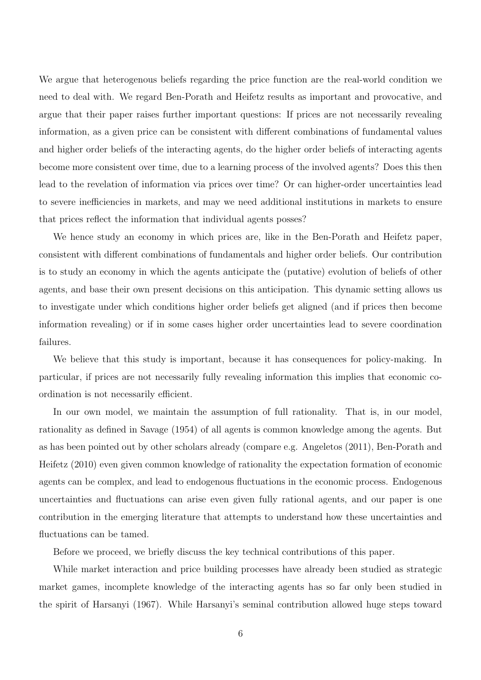We argue that heterogenous beliefs regarding the price function are the real-world condition we need to deal with. We regard Ben-Porath and Heifetz results as important and provocative, and argue that their paper raises further important questions: If prices are not necessarily revealing information, as a given price can be consistent with different combinations of fundamental values and higher order beliefs of the interacting agents, do the higher order beliefs of interacting agents become more consistent over time, due to a learning process of the involved agents? Does this then lead to the revelation of information via prices over time? Or can higher-order uncertainties lead to severe inefficiencies in markets, and may we need additional institutions in markets to ensure that prices reflect the information that individual agents posses?

We hence study an economy in which prices are, like in the Ben-Porath and Heifetz paper, consistent with different combinations of fundamentals and higher order beliefs. Our contribution is to study an economy in which the agents anticipate the (putative) evolution of beliefs of other agents, and base their own present decisions on this anticipation. This dynamic setting allows us to investigate under which conditions higher order beliefs get aligned (and if prices then become information revealing) or if in some cases higher order uncertainties lead to severe coordination failures.

We believe that this study is important, because it has consequences for policy-making. In particular, if prices are not necessarily fully revealing information this implies that economic coordination is not necessarily efficient.

In our own model, we maintain the assumption of full rationality. That is, in our model, rationality as defined in Savage (1954) of all agents is common knowledge among the agents. But as has been pointed out by other scholars already (compare e.g. Angeletos (2011), Ben-Porath and Heifetz (2010) even given common knowledge of rationality the expectation formation of economic agents can be complex, and lead to endogenous fluctuations in the economic process. Endogenous uncertainties and fluctuations can arise even given fully rational agents, and our paper is one contribution in the emerging literature that attempts to understand how these uncertainties and fluctuations can be tamed.

Before we proceed, we briefly discuss the key technical contributions of this paper.

While market interaction and price building processes have already been studied as strategic market games, incomplete knowledge of the interacting agents has so far only been studied in the spirit of Harsanyi (1967). While Harsanyi's seminal contribution allowed huge steps toward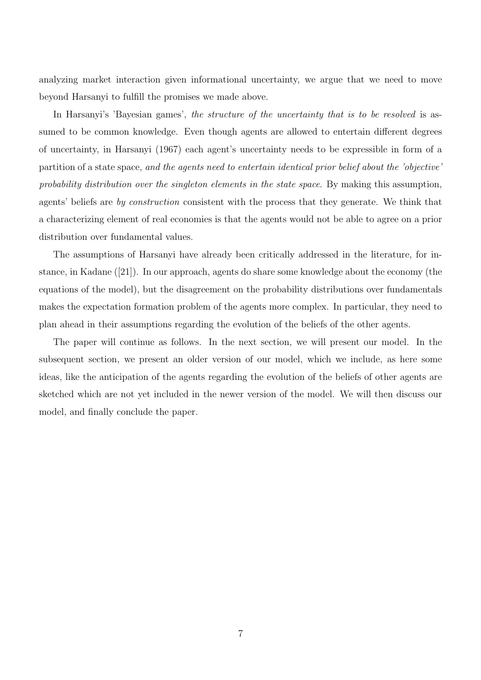analyzing market interaction given informational uncertainty, we argue that we need to move beyond Harsanyi to fulfill the promises we made above.

In Harsanyi's 'Bayesian games', *the structure of the uncertainty that is to be resolved* is assumed to be common knowledge. Even though agents are allowed to entertain different degrees of uncertainty, in Harsanyi (1967) each agent's uncertainty needs to be expressible in form of a partition of a state space, *and the agents need to entertain identical prior belief about the 'objective' probability distribution over the singleton elements in the state space*. By making this assumption, agents' beliefs are *by construction* consistent with the process that they generate. We think that a characterizing element of real economies is that the agents would not be able to agree on a prior distribution over fundamental values.

The assumptions of Harsanyi have already been critically addressed in the literature, for instance, in Kadane ([21]). In our approach, agents do share some knowledge about the economy (the equations of the model), but the disagreement on the probability distributions over fundamentals makes the expectation formation problem of the agents more complex. In particular, they need to plan ahead in their assumptions regarding the evolution of the beliefs of the other agents.

The paper will continue as follows. In the next section, we will present our model. In the subsequent section, we present an older version of our model, which we include, as here some ideas, like the anticipation of the agents regarding the evolution of the beliefs of other agents are sketched which are not yet included in the newer version of the model. We will then discuss our model, and finally conclude the paper.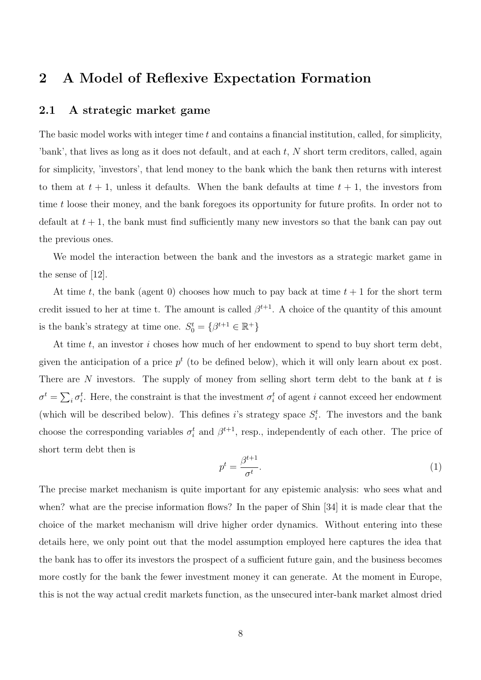## 2 A Model of Reflexive Expectation Formation

#### 2.1 A strategic market game

The basic model works with integer time  $t$  and contains a financial institution, called, for simplicity, 'bank', that lives as long as it does not default, and at each t, N short term creditors, called, again for simplicity, 'investors', that lend money to the bank which the bank then returns with interest to them at  $t + 1$ , unless it defaults. When the bank defaults at time  $t + 1$ , the investors from time t loose their money, and the bank foregoes its opportunity for future profits. In order not to default at  $t + 1$ , the bank must find sufficiently many new investors so that the bank can pay out the previous ones.

We model the interaction between the bank and the investors as a strategic market game in the sense of [12].

At time t, the bank (agent 0) chooses how much to pay back at time  $t + 1$  for the short term credit issued to her at time t. The amount is called  $\beta^{t+1}$ . A choice of the quantity of this amount is the bank's strategy at time one.  $S_0^t = \{ \beta^{t+1} \in \mathbb{R}^+ \}$ 

At time  $t$ , an investor  $i$  choses how much of her endowment to spend to buy short term debt, given the anticipation of a price  $p<sup>t</sup>$  (to be defined below), which it will only learn about ex post. There are N investors. The supply of money from selling short term debt to the bank at  $t$  is  $\sigma^t = \sum_i \sigma_i^t$ . Here, the constraint is that the investment  $\sigma_i^t$  of agent i cannot exceed her endowment (which will be described below). This defines i's strategy space  $S_i^t$ . The investors and the bank choose the corresponding variables  $\sigma_i^t$  and  $\beta^{t+1}$ , resp., independently of each other. The price of short term debt then is

$$
p^t = \frac{\beta^{t+1}}{\sigma^t}.\tag{1}
$$

The precise market mechanism is quite important for any epistemic analysis: who sees what and when? what are the precise information flows? In the paper of Shin [34] it is made clear that the choice of the market mechanism will drive higher order dynamics. Without entering into these details here, we only point out that the model assumption employed here captures the idea that the bank has to offer its investors the prospect of a sufficient future gain, and the business becomes more costly for the bank the fewer investment money it can generate. At the moment in Europe, this is not the way actual credit markets function, as the unsecured inter-bank market almost dried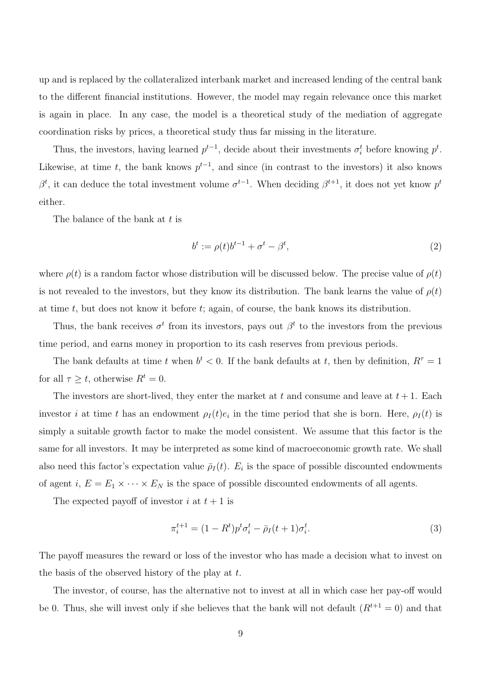up and is replaced by the collateralized interbank market and increased lending of the central bank to the different financial institutions. However, the model may regain relevance once this market is again in place. In any case, the model is a theoretical study of the mediation of aggregate coordination risks by prices, a theoretical study thus far missing in the literature.

Thus, the investors, having learned  $p^{t-1}$ , decide about their investments  $\sigma_i^t$  before knowing  $p^t$ . Likewise, at time t, the bank knows  $p^{t-1}$ , and since (in contrast to the investors) it also knows  $\beta^t$ , it can deduce the total investment volume  $\sigma^{t-1}$ . When deciding  $\beta^{t+1}$ , it does not yet know  $p^t$ either.

The balance of the bank at  $t$  is

$$
b^t := \rho(t)b^{t-1} + \sigma^t - \beta^t,\tag{2}
$$

where  $\rho(t)$  is a random factor whose distribution will be discussed below. The precise value of  $\rho(t)$ is not revealed to the investors, but they know its distribution. The bank learns the value of  $\rho(t)$ at time  $t$ , but does not know it before  $t$ ; again, of course, the bank knows its distribution.

Thus, the bank receives  $\sigma^t$  from its investors, pays out  $\beta^t$  to the investors from the previous time period, and earns money in proportion to its cash reserves from previous periods.

The bank defaults at time t when  $b^t < 0$ . If the bank defaults at t, then by definition,  $R^{\tau} = 1$ for all  $\tau \geq t$ , otherwise  $R^t = 0$ .

The investors are short-lived, they enter the market at t and consume and leave at  $t + 1$ . Each investor i at time t has an endowment  $\rho_I(t)e_i$  in the time period that she is born. Here,  $\rho_I(t)$  is simply a suitable growth factor to make the model consistent. We assume that this factor is the same for all investors. It may be interpreted as some kind of macroeconomic growth rate. We shall also need this factor's expectation value  $\bar{p}_I(t)$ .  $E_i$  is the space of possible discounted endowments of agent i,  $E = E_1 \times \cdots \times E_N$  is the space of possible discounted endowments of all agents.

The expected payoff of investor i at  $t + 1$  is

$$
\pi_i^{t+1} = (1 - R^t) p^t \sigma_i^t - \bar{p}_I(t+1) \sigma_i^t. \tag{3}
$$

The payoff measures the reward or loss of the investor who has made a decision what to invest on the basis of the observed history of the play at  $t$ .

The investor, of course, has the alternative not to invest at all in which case her pay-off would be 0. Thus, she will invest only if she believes that the bank will not default  $(R^{t+1} = 0)$  and that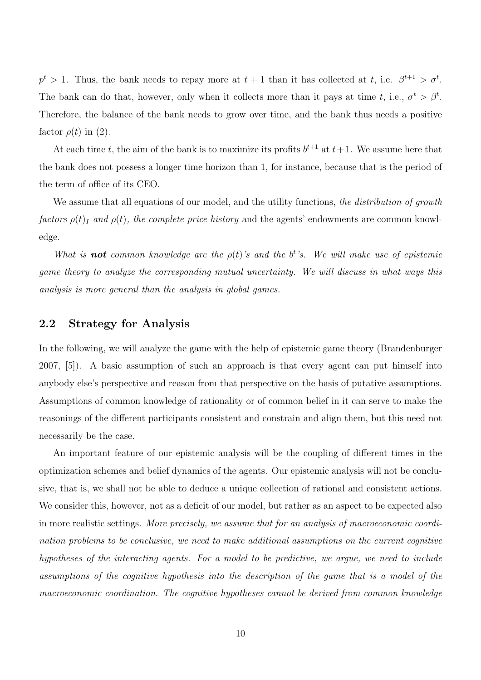$p^t > 1$ . Thus, the bank needs to repay more at  $t + 1$  than it has collected at t, i.e.  $\beta^{t+1} > \sigma^t$ . The bank can do that, however, only when it collects more than it pays at time t, i.e.,  $\sigma^t > \beta^t$ . Therefore, the balance of the bank needs to grow over time, and the bank thus needs a positive factor  $\rho(t)$  in (2).

At each time t, the aim of the bank is to maximize its profits  $b^{t+1}$  at  $t+1$ . We assume here that the bank does not possess a longer time horizon than 1, for instance, because that is the period of the term of office of its CEO.

We assume that all equations of our model, and the utility functions, *the distribution of growth factors*  $\rho(t)$ *<sub>I</sub>* and  $\rho(t)$ *, the complete price history* and the agents' endowments are common knowledge.

*What is* **not** *common knowledge are the*  $\rho(t)$ 's and the b<sup>t</sup>'s. We will make use of epistemic *game theory to analyze the corresponding mutual uncertainty. We will discuss in what ways this analysis is more general than the analysis in global games.*

### 2.2 Strategy for Analysis

In the following, we will analyze the game with the help of epistemic game theory (Brandenburger 2007, [5]). A basic assumption of such an approach is that every agent can put himself into anybody else's perspective and reason from that perspective on the basis of putative assumptions. Assumptions of common knowledge of rationality or of common belief in it can serve to make the reasonings of the different participants consistent and constrain and align them, but this need not necessarily be the case.

An important feature of our epistemic analysis will be the coupling of different times in the optimization schemes and belief dynamics of the agents. Our epistemic analysis will not be conclusive, that is, we shall not be able to deduce a unique collection of rational and consistent actions. We consider this, however, not as a deficit of our model, but rather as an aspect to be expected also in more realistic settings. *More precisely, we assume that for an analysis of macroeconomic coordination problems to be conclusive, we need to make additional assumptions on the current cognitive hypotheses of the interacting agents. For a model to be predictive, we argue, we need to include assumptions of the cognitive hypothesis into the description of the game that is a model of the macroeconomic coordination. The cognitive hypotheses cannot be derived from common knowledge*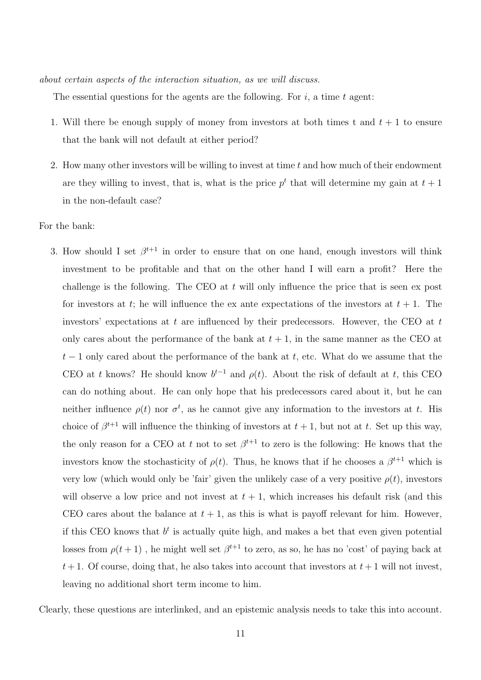*about certain aspects of the interaction situation, as we will discuss.*

The essential questions for the agents are the following. For  $i$ , a time  $t$  agent:

- 1. Will there be enough supply of money from investors at both times t and  $t + 1$  to ensure that the bank will not default at either period?
- 2. How many other investors will be willing to invest at time t and how much of their endowment are they willing to invest, that is, what is the price  $p<sup>t</sup>$  that will determine my gain at  $t + 1$ in the non-default case?

For the bank:

3. How should I set  $\beta^{t+1}$  in order to ensure that on one hand, enough investors will think investment to be profitable and that on the other hand I will earn a profit? Here the challenge is the following. The CEO at  $t$  will only influence the price that is seen ex post for investors at t; he will influence the ex ante expectations of the investors at  $t + 1$ . The investors' expectations at t are influenced by their predecessors. However, the CEO at  $t$ only cares about the performance of the bank at  $t + 1$ , in the same manner as the CEO at  $t-1$  only cared about the performance of the bank at t, etc. What do we assume that the CEO at t knows? He should know  $b^{t-1}$  and  $\rho(t)$ . About the risk of default at t, this CEO can do nothing about. He can only hope that his predecessors cared about it, but he can neither influence  $\rho(t)$  nor  $\sigma^t$ , as he cannot give any information to the investors at t. His choice of  $\beta^{t+1}$  will influence the thinking of investors at  $t + 1$ , but not at t. Set up this way, the only reason for a CEO at t not to set  $\beta^{t+1}$  to zero is the following: He knows that the investors know the stochasticity of  $\rho(t)$ . Thus, he knows that if he chooses a  $\beta^{t+1}$  which is very low (which would only be 'fair' given the unlikely case of a very positive  $\rho(t)$ , investors will observe a low price and not invest at  $t + 1$ , which increases his default risk (and this CEO cares about the balance at  $t + 1$ , as this is what is payoff relevant for him. However, if this CEO knows that  $b^t$  is actually quite high, and makes a bet that even given potential losses from  $\rho(t+1)$ , he might well set  $\beta^{t+1}$  to zero, as so, he has no 'cost' of paying back at  $t+1$ . Of course, doing that, he also takes into account that investors at  $t+1$  will not invest, leaving no additional short term income to him.

Clearly, these questions are interlinked, and an epistemic analysis needs to take this into account.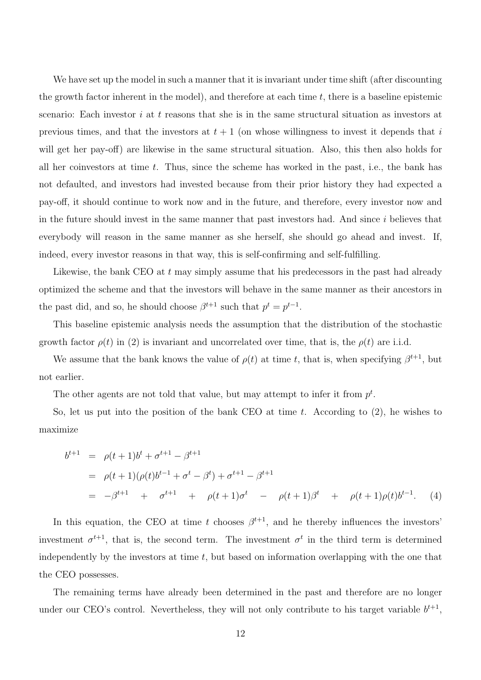We have set up the model in such a manner that it is invariant under time shift (after discounting the growth factor inherent in the model), and therefore at each time  $t$ , there is a baseline epistemic scenario: Each investor  $i$  at  $t$  reasons that she is in the same structural situation as investors at previous times, and that the investors at  $t + 1$  (on whose willingness to invest it depends that i will get her pay-off) are likewise in the same structural situation. Also, this then also holds for all her coinvestors at time  $t$ . Thus, since the scheme has worked in the past, i.e., the bank has not defaulted, and investors had invested because from their prior history they had expected a pay-off, it should continue to work now and in the future, and therefore, every investor now and in the future should invest in the same manner that past investors had. And since i believes that everybody will reason in the same manner as she herself, she should go ahead and invest. If, indeed, every investor reasons in that way, this is self-confirming and self-fulfilling.

Likewise, the bank CEO at t may simply assume that his predecessors in the past had already optimized the scheme and that the investors will behave in the same manner as their ancestors in the past did, and so, he should choose  $\beta^{t+1}$  such that  $p^t = p^{t-1}$ .

This baseline epistemic analysis needs the assumption that the distribution of the stochastic growth factor  $\rho(t)$  in (2) is invariant and uncorrelated over time, that is, the  $\rho(t)$  are i.i.d.

We assume that the bank knows the value of  $\rho(t)$  at time t, that is, when specifying  $\beta^{t+1}$ , but not earlier.

The other agents are not told that value, but may attempt to infer it from  $p<sup>t</sup>$ .

So, let us put into the position of the bank CEO at time t. According to  $(2)$ , he wishes to maximize

$$
b^{t+1} = \rho(t+1)b^{t} + \sigma^{t+1} - \beta^{t+1}
$$
  
=  $\rho(t+1)(\rho(t)b^{t-1} + \sigma^{t} - \beta^{t}) + \sigma^{t+1} - \beta^{t+1}$   
=  $-\beta^{t+1} + \sigma^{t+1} + \rho(t+1)\sigma^{t} - \rho(t+1)\beta^{t} + \rho(t+1)\rho(t)b^{t-1}.$  (4)

In this equation, the CEO at time t chooses  $\beta^{t+1}$ , and he thereby influences the investors' investment  $\sigma^{t+1}$ , that is, the second term. The investment  $\sigma^t$  in the third term is determined independently by the investors at time  $t$ , but based on information overlapping with the one that the CEO possesses.

The remaining terms have already been determined in the past and therefore are no longer under our CEO's control. Nevertheless, they will not only contribute to his target variable  $b^{t+1}$ ,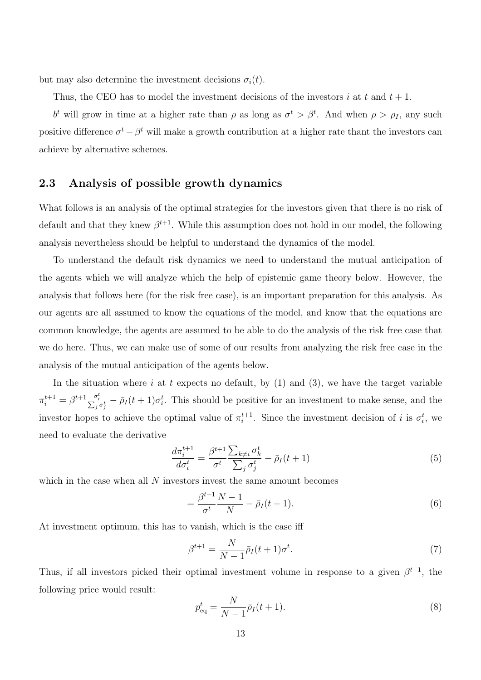but may also determine the investment decisions  $\sigma_i(t)$ .

Thus, the CEO has to model the investment decisions of the investors i at t and  $t + 1$ .

b<sup>t</sup> will grow in time at a higher rate than  $\rho$  as long as  $\sigma^t > \beta^t$ . And when  $\rho > \rho_I$ , any such positive difference  $\sigma^t - \beta^t$  will make a growth contribution at a higher rate thant the investors can achieve by alternative schemes.

#### 2.3 Analysis of possible growth dynamics

What follows is an analysis of the optimal strategies for the investors given that there is no risk of default and that they knew  $\beta^{t+1}$ . While this assumption does not hold in our model, the following analysis nevertheless should be helpful to understand the dynamics of the model.

To understand the default risk dynamics we need to understand the mutual anticipation of the agents which we will analyze which the help of epistemic game theory below. However, the analysis that follows here (for the risk free case), is an important preparation for this analysis. As our agents are all assumed to know the equations of the model, and know that the equations are common knowledge, the agents are assumed to be able to do the analysis of the risk free case that we do here. Thus, we can make use of some of our results from analyzing the risk free case in the analysis of the mutual anticipation of the agents below.

In the situation where i at t expects no default, by  $(1)$  and  $(3)$ , we have the target variable  $\pi_i^{t+1} = \beta^{t+1} \frac{\sigma_i^t}{\sum_j \sigma_j^t} - \bar{\rho}_I(t+1) \sigma_i^t$ . This should be positive for an investment to make sense, and the investor hopes to achieve the optimal value of  $\pi_i^{t+1}$ . Since the investment decision of i is  $\sigma_i^t$ , we need to evaluate the derivative

$$
\frac{d\pi_i^{t+1}}{d\sigma_i^t} = \frac{\beta^{t+1}}{\sigma^t} \frac{\sum_{k\neq i} \sigma_k^t}{\sum_j \sigma_j^t} - \bar{\rho}_I(t+1) \tag{5}
$$

which in the case when all  $N$  investors invest the same amount becomes

$$
=\frac{\beta^{t+1}}{\sigma^t} \frac{N-1}{N} - \bar{\rho}_I(t+1).
$$
\n(6)

At investment optimum, this has to vanish, which is the case iff

$$
\beta^{t+1} = \frac{N}{N-1} \bar{\rho}_I(t+1) \sigma^t. \tag{7}
$$

Thus, if all investors picked their optimal investment volume in response to a given  $\beta^{t+1}$ , the following price would result:

$$
p_{\text{eq}}^{t} = \frac{N}{N-1} \bar{\rho}_I(t+1).
$$
 (8)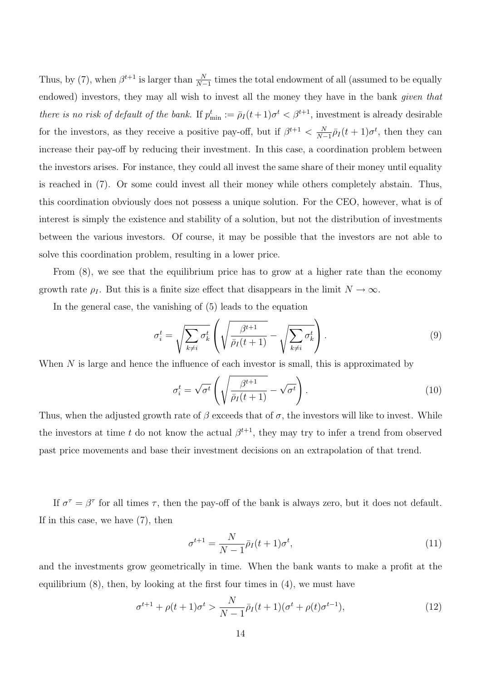Thus, by (7), when  $\beta^{t+1}$  is larger than  $\frac{N}{N-1}$  times the total endowment of all (assumed to be equally endowed) investors, they may all wish to invest all the money they have in the bank *given that there is no risk of default of the bank.* If  $p_{\min}^t := \bar{\rho}_I(t+1)\sigma^t < \beta^{t+1}$ , investment is already desirable for the investors, as they receive a positive pay-off, but if  $\beta^{t+1} < \frac{N}{N-1} \bar{\rho}_I(t+1) \sigma^t$ , then they can increase their pay-off by reducing their investment. In this case, a coordination problem between the investors arises. For instance, they could all invest the same share of their money until equality is reached in (7). Or some could invest all their money while others completely abstain. Thus, this coordination obviously does not possess a unique solution. For the CEO, however, what is of interest is simply the existence and stability of a solution, but not the distribution of investments between the various investors. Of course, it may be possible that the investors are not able to solve this coordination problem, resulting in a lower price.

From (8), we see that the equilibrium price has to grow at a higher rate than the economy growth rate  $\rho_I$ . But this is a finite size effect that disappears in the limit  $N \to \infty$ .

In the general case, the vanishing of (5) leads to the equation

$$
\sigma_i^t = \sqrt{\sum_{k \neq i} \sigma_k^t} \left( \sqrt{\frac{\beta^{t+1}}{\bar{\rho}_I(t+1)}} - \sqrt{\sum_{k \neq i} \sigma_k^t} \right). \tag{9}
$$

When  $N$  is large and hence the influence of each investor is small, this is approximated by

$$
\sigma_i^t = \sqrt{\sigma^t} \left( \sqrt{\frac{\beta^{t+1}}{\bar{\rho}_I(t+1)}} - \sqrt{\sigma^t} \right). \tag{10}
$$

Thus, when the adjusted growth rate of  $\beta$  exceeds that of  $\sigma$ , the investors will like to invest. While the investors at time t do not know the actual  $\beta^{t+1}$ , they may try to infer a trend from observed past price movements and base their investment decisions on an extrapolation of that trend.

If  $\sigma^{\tau} = \beta^{\tau}$  for all times  $\tau$ , then the pay-off of the bank is always zero, but it does not default. If in this case, we have (7), then

$$
\sigma^{t+1} = \frac{N}{N-1} \bar{\rho}_I(t+1) \sigma^t,\tag{11}
$$

and the investments grow geometrically in time. When the bank wants to make a profit at the equilibrium (8), then, by looking at the first four times in (4), we must have

$$
\sigma^{t+1} + \rho(t+1)\sigma^t > \frac{N}{N-1}\bar{\rho}_I(t+1)(\sigma^t + \rho(t)\sigma^{t-1}),\tag{12}
$$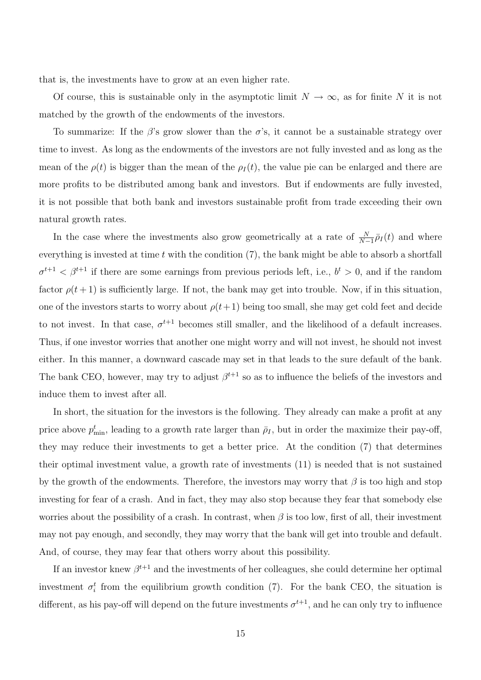that is, the investments have to grow at an even higher rate.

Of course, this is sustainable only in the asymptotic limit  $N \to \infty$ , as for finite N it is not matched by the growth of the endowments of the investors.

To summarize: If the  $\beta$ 's grow slower than the  $\sigma$ 's, it cannot be a sustainable strategy over time to invest. As long as the endowments of the investors are not fully invested and as long as the mean of the  $\rho(t)$  is bigger than the mean of the  $\rho_I(t)$ , the value pie can be enlarged and there are more profits to be distributed among bank and investors. But if endowments are fully invested, it is not possible that both bank and investors sustainable profit from trade exceeding their own natural growth rates.

In the case where the investments also grow geometrically at a rate of  $\frac{N}{N-1} \bar{\rho}_I(t)$  and where everything is invested at time  $t$  with the condition  $(7)$ , the bank might be able to absorb a shortfall  $\sigma^{t+1} < \beta^{t+1}$  if there are some earnings from previous periods left, i.e.,  $b^t > 0$ , and if the random factor  $\rho(t+1)$  is sufficiently large. If not, the bank may get into trouble. Now, if in this situation, one of the investors starts to worry about  $\rho(t+1)$  being too small, she may get cold feet and decide to not invest. In that case,  $\sigma^{t+1}$  becomes still smaller, and the likelihood of a default increases. Thus, if one investor worries that another one might worry and will not invest, he should not invest either. In this manner, a downward cascade may set in that leads to the sure default of the bank. The bank CEO, however, may try to adjust  $\beta^{t+1}$  so as to influence the beliefs of the investors and induce them to invest after all.

In short, the situation for the investors is the following. They already can make a profit at any price above  $p_{\min}^t$ , leading to a growth rate larger than  $\bar{\rho}_I$ , but in order the maximize their pay-off, they may reduce their investments to get a better price. At the condition (7) that determines their optimal investment value, a growth rate of investments (11) is needed that is not sustained by the growth of the endowments. Therefore, the investors may worry that  $\beta$  is too high and stop investing for fear of a crash. And in fact, they may also stop because they fear that somebody else worries about the possibility of a crash. In contrast, when  $\beta$  is too low, first of all, their investment may not pay enough, and secondly, they may worry that the bank will get into trouble and default. And, of course, they may fear that others worry about this possibility.

If an investor knew  $\beta^{t+1}$  and the investments of her colleagues, she could determine her optimal investment  $\sigma_i^t$  from the equilibrium growth condition (7). For the bank CEO, the situation is different, as his pay-off will depend on the future investments  $\sigma^{t+1}$ , and he can only try to influence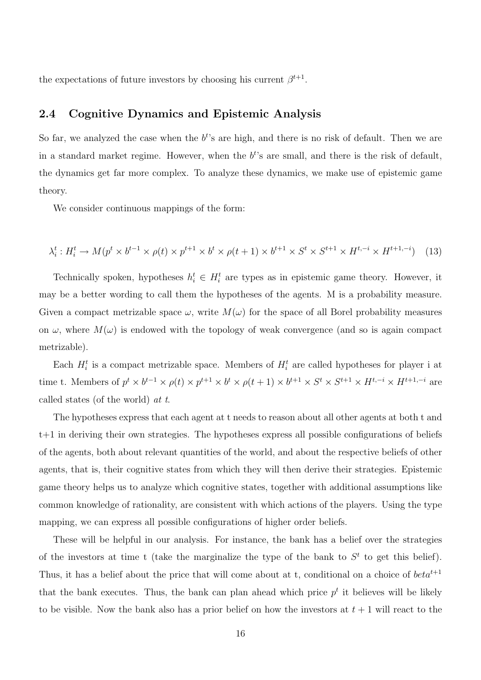the expectations of future investors by choosing his current  $\beta^{t+1}$ .

#### 2.4 Cognitive Dynamics and Epistemic Analysis

So far, we analyzed the case when the  $b<sup>t</sup>$ 's are high, and there is no risk of default. Then we are in a standard market regime. However, when the  $b<sup>t</sup>$ 's are small, and there is the risk of default, the dynamics get far more complex. To analyze these dynamics, we make use of epistemic game theory.

We consider continuous mappings of the form:

$$
\lambda_i^t: H_i^t \to M(p^t \times b^{t-1} \times \rho(t) \times p^{t+1} \times b^t \times \rho(t+1) \times b^{t+1} \times S^t \times S^{t+1} \times H^{t,-i} \times H^{t+1,-i}) \tag{13}
$$

Technically spoken, hypotheses  $h_i^t \in H_i^t$  are types as in epistemic game theory. However, it may be a better wording to call them the hypotheses of the agents. M is a probability measure. Given a compact metrizable space  $\omega$ , write  $M(\omega)$  for the space of all Borel probability measures on  $\omega$ , where  $M(\omega)$  is endowed with the topology of weak convergence (and so is again compact metrizable).

Each  $H_i^t$  is a compact metrizable space. Members of  $H_i^t$  are called hypotheses for player i at time t. Members of  $p^t \times b^{t-1} \times \rho(t) \times p^{t+1} \times b^t \times \rho(t+1) \times b^{t+1} \times S^t \times S^{t+1} \times H^{t,-i} \times H^{t+1,-i}$  are called states (of the world) *at t*.

The hypotheses express that each agent at t needs to reason about all other agents at both t and t+1 in deriving their own strategies. The hypotheses express all possible configurations of beliefs of the agents, both about relevant quantities of the world, and about the respective beliefs of other agents, that is, their cognitive states from which they will then derive their strategies. Epistemic game theory helps us to analyze which cognitive states, together with additional assumptions like common knowledge of rationality, are consistent with which actions of the players. Using the type mapping, we can express all possible configurations of higher order beliefs.

These will be helpful in our analysis. For instance, the bank has a belief over the strategies of the investors at time t (take the marginalize the type of the bank to  $S<sup>t</sup>$  to get this belief). Thus, it has a belief about the price that will come about at t, conditional on a choice of  $beta^{t+1}$ that the bank executes. Thus, the bank can plan ahead which price  $p<sup>t</sup>$  it believes will be likely to be visible. Now the bank also has a prior belief on how the investors at  $t + 1$  will react to the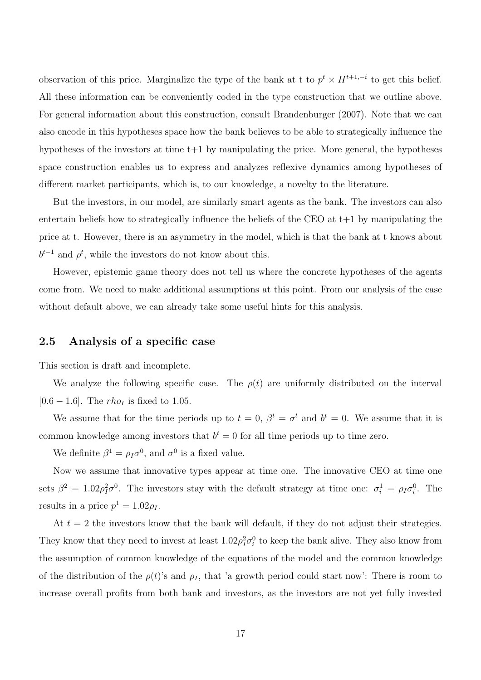observation of this price. Marginalize the type of the bank at t to  $p^t \times H^{t+1,-i}$  to get this belief. All these information can be conveniently coded in the type construction that we outline above. For general information about this construction, consult Brandenburger (2007). Note that we can also encode in this hypotheses space how the bank believes to be able to strategically influence the hypotheses of the investors at time  $t+1$  by manipulating the price. More general, the hypotheses space construction enables us to express and analyzes reflexive dynamics among hypotheses of different market participants, which is, to our knowledge, a novelty to the literature.

But the investors, in our model, are similarly smart agents as the bank. The investors can also entertain beliefs how to strategically influence the beliefs of the CEO at  $t+1$  by manipulating the price at t. However, there is an asymmetry in the model, which is that the bank at t knows about  $b^{t-1}$  and  $\rho^t$ , while the investors do not know about this.

However, epistemic game theory does not tell us where the concrete hypotheses of the agents come from. We need to make additional assumptions at this point. From our analysis of the case without default above, we can already take some useful hints for this analysis.

### 2.5 Analysis of a specific case

This section is draft and incomplete.

We analyze the following specific case. The  $\rho(t)$  are uniformly distributed on the interval [0.6 – 1.6]. The *rho<sub>I</sub>* is fixed to 1.05.

We assume that for the time periods up to  $t = 0$ ,  $\beta^t = \sigma^t$  and  $b^t = 0$ . We assume that it is common knowledge among investors that  $b^t = 0$  for all time periods up to time zero.

We definite  $\beta^1 = \rho_I \sigma^0$ , and  $\sigma^0$  is a fixed value.

Now we assume that innovative types appear at time one. The innovative CEO at time one sets  $\beta^2 = 1.02 \rho_I^2 \sigma^0$ . The investors stay with the default strategy at time one:  $\sigma_i^1 = \rho_I \sigma_i^0$ . The results in a price  $p^1 = 1.02 \rho_I$ .

At  $t = 2$  the investors know that the bank will default, if they do not adjust their strategies. They know that they need to invest at least  $1.02\rho_I^2 \sigma_i^0$  to keep the bank alive. They also know from the assumption of common knowledge of the equations of the model and the common knowledge of the distribution of the  $\rho(t)$ 's and  $\rho_I$ , that 'a growth period could start now': There is room to increase overall profits from both bank and investors, as the investors are not yet fully invested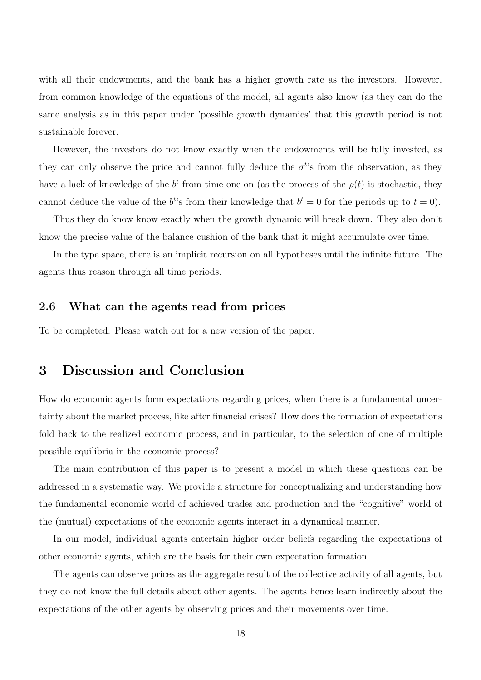with all their endowments, and the bank has a higher growth rate as the investors. However, from common knowledge of the equations of the model, all agents also know (as they can do the same analysis as in this paper under 'possible growth dynamics' that this growth period is not sustainable forever.

However, the investors do not know exactly when the endowments will be fully invested, as they can only observe the price and cannot fully deduce the  $\sigma^{t}$ 's from the observation, as they have a lack of knowledge of the  $b^t$  from time one on (as the process of the  $\rho(t)$  is stochastic, they cannot deduce the value of the  $b<sup>t</sup>$ 's from their knowledge that  $b<sup>t</sup> = 0$  for the periods up to  $t = 0$ ).

Thus they do know know exactly when the growth dynamic will break down. They also don't know the precise value of the balance cushion of the bank that it might accumulate over time.

In the type space, there is an implicit recursion on all hypotheses until the infinite future. The agents thus reason through all time periods.

#### 2.6 What can the agents read from prices

To be completed. Please watch out for a new version of the paper.

### 3 Discussion and Conclusion

How do economic agents form expectations regarding prices, when there is a fundamental uncertainty about the market process, like after financial crises? How does the formation of expectations fold back to the realized economic process, and in particular, to the selection of one of multiple possible equilibria in the economic process?

The main contribution of this paper is to present a model in which these questions can be addressed in a systematic way. We provide a structure for conceptualizing and understanding how the fundamental economic world of achieved trades and production and the "cognitive" world of the (mutual) expectations of the economic agents interact in a dynamical manner.

In our model, individual agents entertain higher order beliefs regarding the expectations of other economic agents, which are the basis for their own expectation formation.

The agents can observe prices as the aggregate result of the collective activity of all agents, but they do not know the full details about other agents. The agents hence learn indirectly about the expectations of the other agents by observing prices and their movements over time.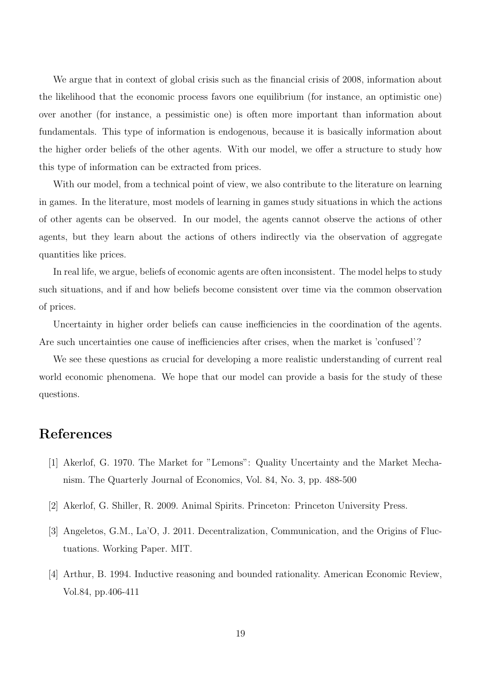We argue that in context of global crisis such as the financial crisis of 2008, information about the likelihood that the economic process favors one equilibrium (for instance, an optimistic one) over another (for instance, a pessimistic one) is often more important than information about fundamentals. This type of information is endogenous, because it is basically information about the higher order beliefs of the other agents. With our model, we offer a structure to study how this type of information can be extracted from prices.

With our model, from a technical point of view, we also contribute to the literature on learning in games. In the literature, most models of learning in games study situations in which the actions of other agents can be observed. In our model, the agents cannot observe the actions of other agents, but they learn about the actions of others indirectly via the observation of aggregate quantities like prices.

In real life, we argue, beliefs of economic agents are often inconsistent. The model helps to study such situations, and if and how beliefs become consistent over time via the common observation of prices.

Uncertainty in higher order beliefs can cause inefficiencies in the coordination of the agents. Are such uncertainties one cause of inefficiencies after crises, when the market is 'confused'?

We see these questions as crucial for developing a more realistic understanding of current real world economic phenomena. We hope that our model can provide a basis for the study of these questions.

## References

- [1] Akerlof, G. 1970. The Market for "Lemons": Quality Uncertainty and the Market Mechanism. The Quarterly Journal of Economics, Vol. 84, No. 3, pp. 488-500
- [2] Akerlof, G. Shiller, R. 2009. Animal Spirits. Princeton: Princeton University Press.
- [3] Angeletos, G.M., La'O, J. 2011. Decentralization, Communication, and the Origins of Fluctuations. Working Paper. MIT.
- [4] Arthur, B. 1994. Inductive reasoning and bounded rationality. American Economic Review, Vol.84, pp.406-411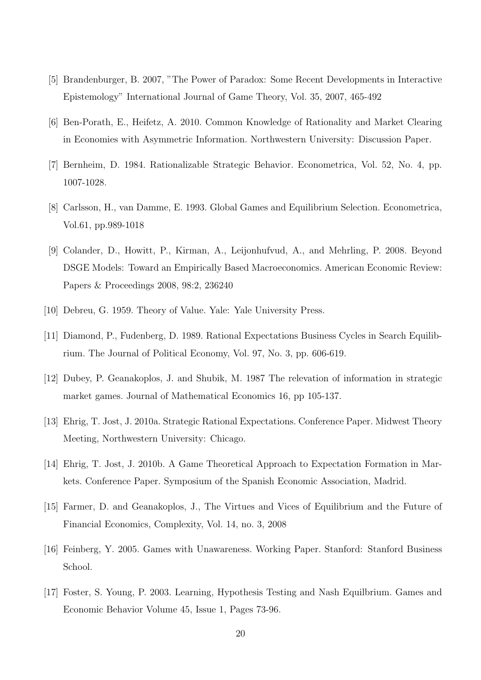- [5] Brandenburger, B. 2007, "The Power of Paradox: Some Recent Developments in Interactive Epistemology" International Journal of Game Theory, Vol. 35, 2007, 465-492
- [6] Ben-Porath, E., Heifetz, A. 2010. Common Knowledge of Rationality and Market Clearing in Economies with Asymmetric Information. Northwestern University: Discussion Paper.
- [7] Bernheim, D. 1984. Rationalizable Strategic Behavior. Econometrica, Vol. 52, No. 4, pp. 1007-1028.
- [8] Carlsson, H., van Damme, E. 1993. Global Games and Equilibrium Selection. Econometrica, Vol.61, pp.989-1018
- [9] Colander, D., Howitt, P., Kirman, A., Leijonhufvud, A., and Mehrling, P. 2008. Beyond DSGE Models: Toward an Empirically Based Macroeconomics. American Economic Review: Papers & Proceedings 2008, 98:2, 236240
- [10] Debreu, G. 1959. Theory of Value. Yale: Yale University Press.
- [11] Diamond, P., Fudenberg, D. 1989. Rational Expectations Business Cycles in Search Equilibrium. The Journal of Political Economy, Vol. 97, No. 3, pp. 606-619.
- [12] Dubey, P. Geanakoplos, J. and Shubik, M. 1987 The relevation of information in strategic market games. Journal of Mathematical Economics 16, pp 105-137.
- [13] Ehrig, T. Jost, J. 2010a. Strategic Rational Expectations. Conference Paper. Midwest Theory Meeting, Northwestern University: Chicago.
- [14] Ehrig, T. Jost, J. 2010b. A Game Theoretical Approach to Expectation Formation in Markets. Conference Paper. Symposium of the Spanish Economic Association, Madrid.
- [15] Farmer, D. and Geanakoplos, J., The Virtues and Vices of Equilibrium and the Future of Financial Economics, Complexity, Vol. 14, no. 3, 2008
- [16] Feinberg, Y. 2005. Games with Unawareness. Working Paper. Stanford: Stanford Business School.
- [17] Foster, S. Young, P. 2003. Learning, Hypothesis Testing and Nash Equilbrium. Games and Economic Behavior Volume 45, Issue 1, Pages 73-96.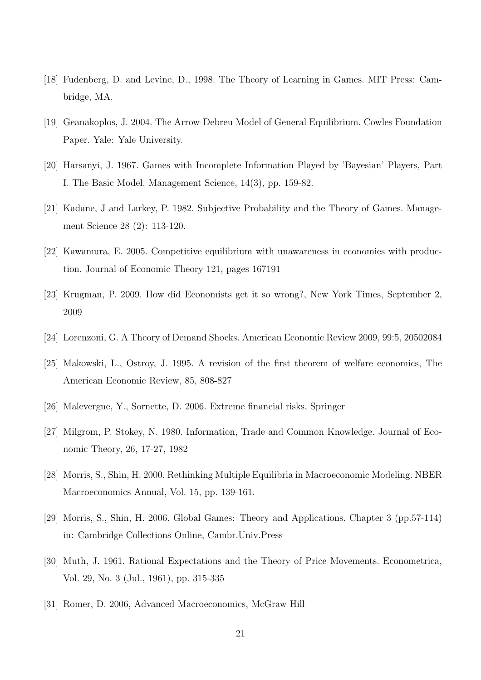- [18] Fudenberg, D. and Levine, D., 1998. The Theory of Learning in Games. MIT Press: Cambridge, MA.
- [19] Geanakoplos, J. 2004. The Arrow-Debreu Model of General Equilibrium. Cowles Foundation Paper. Yale: Yale University.
- [20] Harsanyi, J. 1967. Games with Incomplete Information Played by 'Bayesian' Players, Part I. The Basic Model. Management Science, 14(3), pp. 159-82.
- [21] Kadane, J and Larkey, P. 1982. Subjective Probability and the Theory of Games. Management Science 28 (2): 113-120.
- [22] Kawamura, E. 2005. Competitive equilibrium with unawareness in economies with production. Journal of Economic Theory 121, pages 167191
- [23] Krugman, P. 2009. How did Economists get it so wrong?, New York Times, September 2, 2009
- [24] Lorenzoni, G. A Theory of Demand Shocks. American Economic Review 2009, 99:5, 20502084
- [25] Makowski, L., Ostroy, J. 1995. A revision of the first theorem of welfare economics, The American Economic Review, 85, 808-827
- [26] Malevergne, Y., Sornette, D. 2006. Extreme financial risks, Springer
- [27] Milgrom, P. Stokey, N. 1980. Information, Trade and Common Knowledge. Journal of Economic Theory, 26, 17-27, 1982
- [28] Morris, S., Shin, H. 2000. Rethinking Multiple Equilibria in Macroeconomic Modeling. NBER Macroeconomics Annual, Vol. 15, pp. 139-161.
- [29] Morris, S., Shin, H. 2006. Global Games: Theory and Applications. Chapter 3 (pp.57-114) in: Cambridge Collections Online, Cambr.Univ.Press
- [30] Muth, J. 1961. Rational Expectations and the Theory of Price Movements. Econometrica, Vol. 29, No. 3 (Jul., 1961), pp. 315-335
- [31] Romer, D. 2006, Advanced Macroeconomics, McGraw Hill